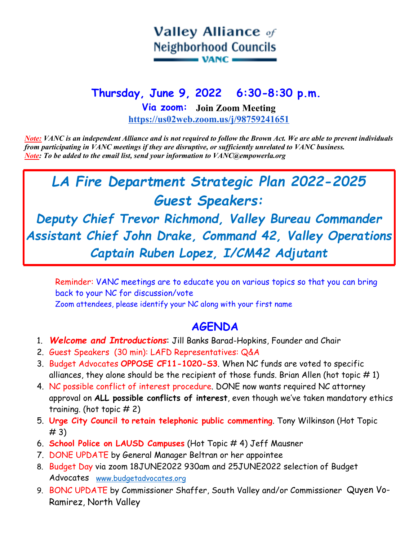### **Valley Alliance** of **Neighborhood Councils**  $\blacksquare$  vanc  $\blacksquare$

## **Thursday, June 9, 2022 6:30***-***8:30 p.m.**

**Via zoom: Join Zoom Meeting https://us02web.zoom.us/j/98759241651**

*Note: VANC is an independent Alliance and is not required to follow the Brown Act. We are able to prevent individuals from participating in VANC meetings if they are disruptive, or sufficiently unrelated to VANC business. Note: To be added to the email list, send your information to VANC@empowerla.org*

# *LA Fire Department Strategic Plan 2022-2025 Guest Speakers:*

*Deputy Chief Trevor Richmond, Valley Bureau Commander Assistant Chief John Drake, Command 42, Valley Operations Captain Ruben Lopez, I/CM42 Adjutant*

Reminder: VANC meetings are to educate you on various topics so that you can bring back to your NC for discussion/vote Zoom attendees, please identify your NC along with your first name

### **AGENDA**

- 1. *Welcome and Introductions*: Jill Banks Barad-Hopkins, Founder and Chair
- 2. Guest Speakers (30 min): LAFD Representatives: Q&A
- 3. Budget Advocates **OPPOSE CF11-1020-S3**. When NC funds are voted to specific alliances, they alone should be the recipient of those funds. Brian Allen (hot topic  $\#$  1)
- 4. NC possible conflict of interest procedure. DONE now wants required NC attorney approval on **ALL possible conflicts of interest**, even though we've taken mandatory ethics training. (hot topic  $# 2$ )
- 5. **Urge City Council to retain telephonic public commenting**. Tony Wilkinson (Hot Topic # 3)
- 6. **School Police on LAUSD Campuses** (Hot Topic # 4) Jeff Mausner
- 7. DONE UPDATE by General Manager Beltran or her appointee
- 8. Budget Day via zoom 18JUNE2022 930am and 25JUNE2022 selection of Budget Advocates www.budgetadvocates.org
- 9. BONC UPDATE by Commissioner Shaffer, South Valley and/or Commissioner Quyen Vo-Ramirez, North Valley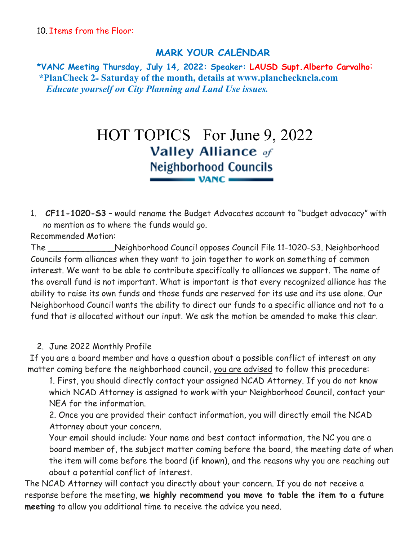#### **MARK YOUR CALENDAR**

**\*VANC Meeting Thursday, July 14, 2022: Speaker: LAUSD Supt.Alberto Carvalho**:  **\*PlanCheck 2nd Saturday of the month, details at www.plancheckncla.com**   *Educate yourself on City Planning and Land Use issues.*

## HOT TOPICS For June 9, 2022 **Valley Alliance** of **Neighborhood Councils**

1. **CF11-1020-S3** – would rename the Budget Advocates account to "budget advocacy" with no mention as to where the funds would go.

Recommended Motion:

The \_\_\_\_\_\_\_\_\_\_\_\_\_Neighborhood Council opposes Council File 11-1020-S3. Neighborhood Councils form alliances when they want to join together to work on something of common interest. We want to be able to contribute specifically to alliances we support. The name of the overall fund is not important. What is important is that every recognized alliance has the ability to raise its own funds and those funds are reserved for its use and its use alone. Our Neighborhood Council wants the ability to direct our funds to a specific alliance and not to a fund that is allocated without our input. We ask the motion be amended to make this clear.

2. June 2022 Monthly Profile

 If you are a board member and have a question about a possible conflict of interest on any matter coming before the neighborhood council, you are advised to follow this procedure:

1. First, you should directly contact your assigned NCAD Attorney. If you do not know which NCAD Attorney is assigned to work with your Neighborhood Council, contact your NEA for the information.

2. Once you are provided their contact information, you will directly email the NCAD Attorney about your concern.

Your email should include: Your name and best contact information, the NC you are a board member of, the subject matter coming before the board, the meeting date of when the item will come before the board (if known), and the reasons why you are reaching out about a potential conflict of interest.

The NCAD Attorney will contact you directly about your concern. If you do not receive a response before the meeting, **we highly recommend you move to table the item to a future meeting** to allow you additional time to receive the advice you need.